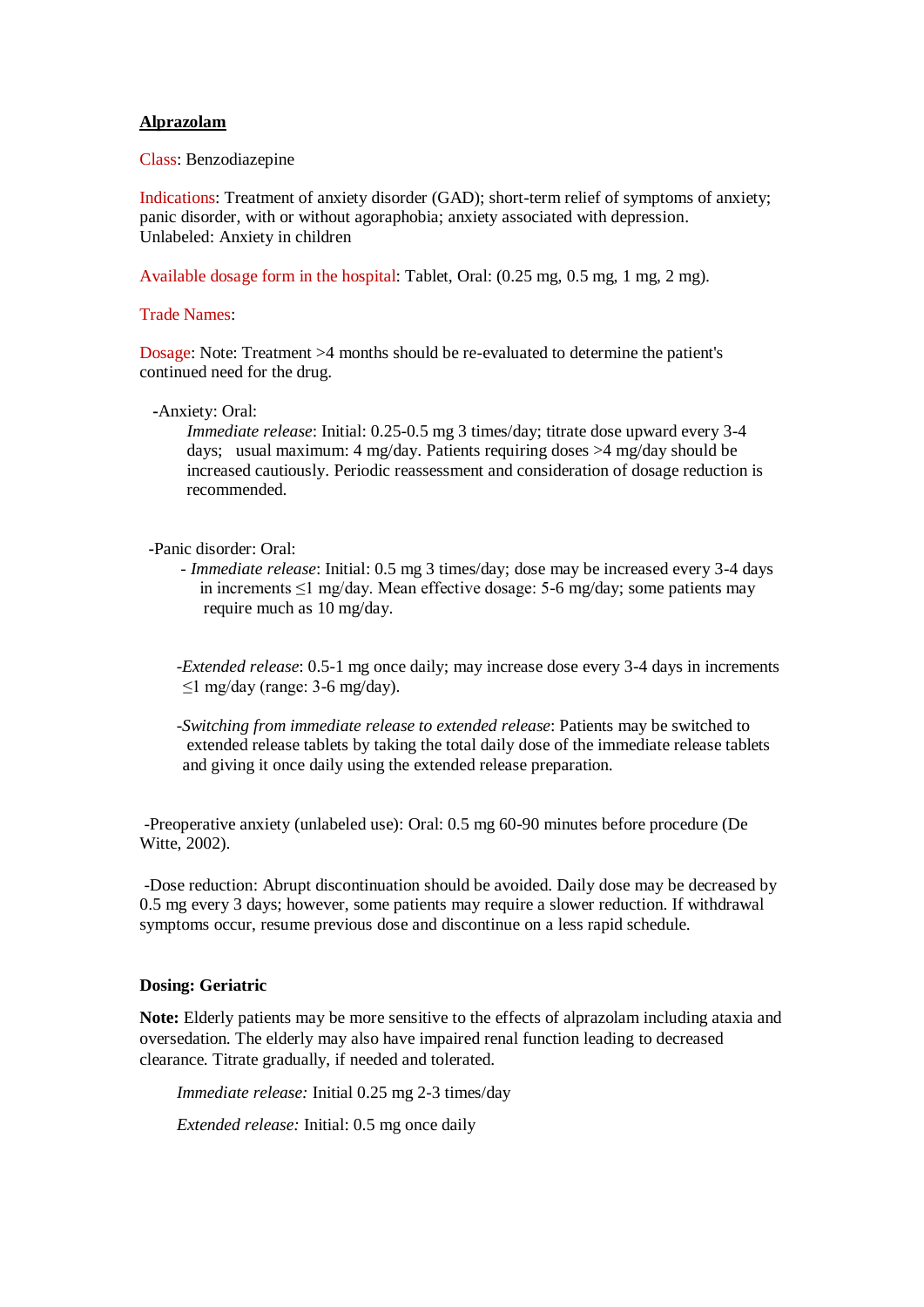# **Alprazolam**

Class: Benzodiazepine

Indications: Treatment of anxiety disorder (GAD); short-term relief of symptoms of anxiety; panic disorder, with or without agoraphobia; anxiety associated with depression. Unlabeled: Anxiety in children

Available dosage form in the hospital: Tablet, Oral: (0.25 mg, 0.5 mg, 1 mg, 2 mg).

### Trade Names:

Dosage: Note: Treatment >4 months should be re-evaluated to determine the patient's continued need for the drug.

 **-**Anxiety: Oral:

 *Immediate release*: Initial: 0.25-0.5 mg 3 times/day; titrate dose upward every 3-4 days; usual maximum: 4 mg/day. Patients requiring doses >4 mg/day should be increased cautiously. Periodic reassessment and consideration of dosage reduction is recommended.

- **-**Panic disorder: Oral:
	- *Immediate release*: Initial: 0.5 mg 3 times/day; dose may be increased every 3-4 days in increments ≤1 mg/day. Mean effective dosage: 5-6 mg/day; some patients may require much as 10 mg/day.

 -*Extended release*: 0.5-1 mg once daily; may increase dose every 3-4 days in increments ≤1 mg/day (range: 3-6 mg/day).

*-Switching from immediate release to extended release*: Patients may be switched to extended release tablets by taking the total daily dose of the immediate release tablets and giving it once daily using the extended release preparation.

-Preoperative anxiety (unlabeled use): Oral: 0.5 mg 60-90 minutes before procedure (De Witte, 2002).

-Dose reduction: Abrupt discontinuation should be avoided. Daily dose may be decreased by 0.5 mg every 3 days; however, some patients may require a slower reduction. If withdrawal symptoms occur, resume previous dose and discontinue on a less rapid schedule.

#### **Dosing: Geriatric**

**Note:** Elderly patients may be more sensitive to the effects of alprazolam including ataxia and oversedation. The elderly may also have impaired renal function leading to decreased clearance. Titrate gradually, if needed and tolerated.

*Immediate release:* Initial 0.25 mg 2-3 times/day

*Extended release:* Initial: 0.5 mg once daily